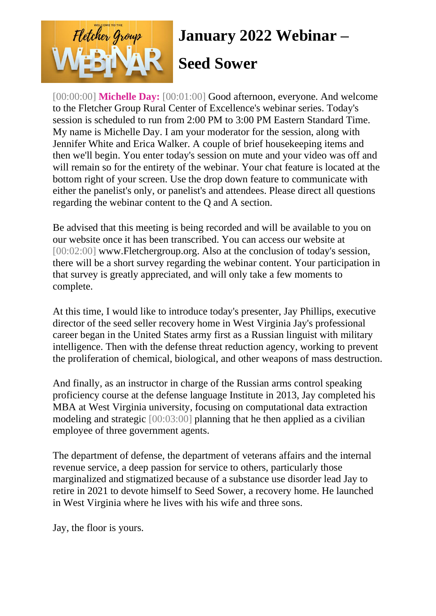

[00:00:00] **Michelle Day:** [00:01:00] Good afternoon, everyone. And welcome to the Fletcher Group Rural Center of Excellence's webinar series. Today's session is scheduled to run from 2:00 PM to 3:00 PM Eastern Standard Time. My name is Michelle Day. I am your moderator for the session, along with Jennifer White and Erica Walker. A couple of brief housekeeping items and then we'll begin. You enter today's session on mute and your video was off and will remain so for the entirety of the webinar. Your chat feature is located at the bottom right of your screen. Use the drop down feature to communicate with either the panelist's only, or panelist's and attendees. Please direct all questions regarding the webinar content to the Q and A section.

Be advised that this meeting is being recorded and will be available to you on our website once it has been transcribed. You can access our website at [00:02:00] www.Fletchergroup.org. Also at the conclusion of today's session, there will be a short survey regarding the webinar content. Your participation in that survey is greatly appreciated, and will only take a few moments to complete.

At this time, I would like to introduce today's presenter, Jay Phillips, executive director of the seed seller recovery home in West Virginia Jay's professional career began in the United States army first as a Russian linguist with military intelligence. Then with the defense threat reduction agency, working to prevent the proliferation of chemical, biological, and other weapons of mass destruction.

And finally, as an instructor in charge of the Russian arms control speaking proficiency course at the defense language Institute in 2013, Jay completed his MBA at West Virginia university, focusing on computational data extraction modeling and strategic [00:03:00] planning that he then applied as a civilian employee of three government agents.

The department of defense, the department of veterans affairs and the internal revenue service, a deep passion for service to others, particularly those marginalized and stigmatized because of a substance use disorder lead Jay to retire in 2021 to devote himself to Seed Sower, a recovery home. He launched in West Virginia where he lives with his wife and three sons.

Jay, the floor is yours.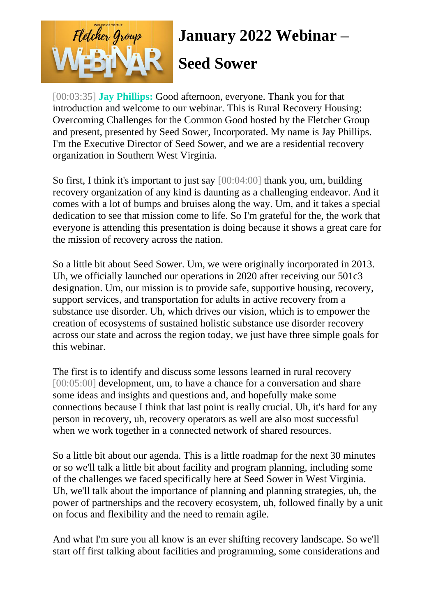

[00:03:35] **Jay Phillips:** Good afternoon, everyone. Thank you for that introduction and welcome to our webinar. This is Rural Recovery Housing: Overcoming Challenges for the Common Good hosted by the Fletcher Group and present, presented by Seed Sower, Incorporated. My name is Jay Phillips. I'm the Executive Director of Seed Sower, and we are a residential recovery organization in Southern West Virginia.

So first, I think it's important to just say [00:04:00] thank you, um, building recovery organization of any kind is daunting as a challenging endeavor. And it comes with a lot of bumps and bruises along the way. Um, and it takes a special dedication to see that mission come to life. So I'm grateful for the, the work that everyone is attending this presentation is doing because it shows a great care for the mission of recovery across the nation.

So a little bit about Seed Sower. Um, we were originally incorporated in 2013. Uh, we officially launched our operations in 2020 after receiving our 501c3 designation. Um, our mission is to provide safe, supportive housing, recovery, support services, and transportation for adults in active recovery from a substance use disorder. Uh, which drives our vision, which is to empower the creation of ecosystems of sustained holistic substance use disorder recovery across our state and across the region today, we just have three simple goals for this webinar.

The first is to identify and discuss some lessons learned in rural recovery [00:05:00] development, um, to have a chance for a conversation and share some ideas and insights and questions and, and hopefully make some connections because I think that last point is really crucial. Uh, it's hard for any person in recovery, uh, recovery operators as well are also most successful when we work together in a connected network of shared resources.

So a little bit about our agenda. This is a little roadmap for the next 30 minutes or so we'll talk a little bit about facility and program planning, including some of the challenges we faced specifically here at Seed Sower in West Virginia. Uh, we'll talk about the importance of planning and planning strategies, uh, the power of partnerships and the recovery ecosystem, uh, followed finally by a unit on focus and flexibility and the need to remain agile.

And what I'm sure you all know is an ever shifting recovery landscape. So we'll start off first talking about facilities and programming, some considerations and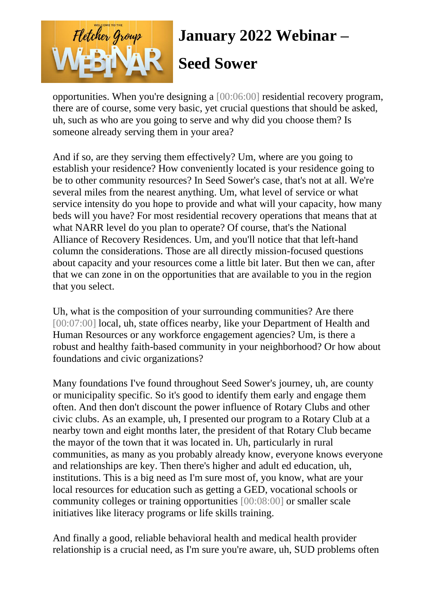

#### **Seed Sower**

opportunities. When you're designing a [00:06:00] residential recovery program, there are of course, some very basic, yet crucial questions that should be asked, uh, such as who are you going to serve and why did you choose them? Is someone already serving them in your area?

And if so, are they serving them effectively? Um, where are you going to establish your residence? How conveniently located is your residence going to be to other community resources? In Seed Sower's case, that's not at all. We're several miles from the nearest anything. Um, what level of service or what service intensity do you hope to provide and what will your capacity, how many beds will you have? For most residential recovery operations that means that at what NARR level do you plan to operate? Of course, that's the National Alliance of Recovery Residences. Um, and you'll notice that that left-hand column the considerations. Those are all directly mission-focused questions about capacity and your resources come a little bit later. But then we can, after that we can zone in on the opportunities that are available to you in the region that you select.

Uh, what is the composition of your surrounding communities? Are there [00:07:00] local, uh, state offices nearby, like your Department of Health and Human Resources or any workforce engagement agencies? Um, is there a robust and healthy faith-based community in your neighborhood? Or how about foundations and civic organizations?

Many foundations I've found throughout Seed Sower's journey, uh, are county or municipality specific. So it's good to identify them early and engage them often. And then don't discount the power influence of Rotary Clubs and other civic clubs. As an example, uh, I presented our program to a Rotary Club at a nearby town and eight months later, the president of that Rotary Club became the mayor of the town that it was located in. Uh, particularly in rural communities, as many as you probably already know, everyone knows everyone and relationships are key. Then there's higher and adult ed education, uh, institutions. This is a big need as I'm sure most of, you know, what are your local resources for education such as getting a GED, vocational schools or community colleges or training opportunities [00:08:00] or smaller scale initiatives like literacy programs or life skills training.

And finally a good, reliable behavioral health and medical health provider relationship is a crucial need, as I'm sure you're aware, uh, SUD problems often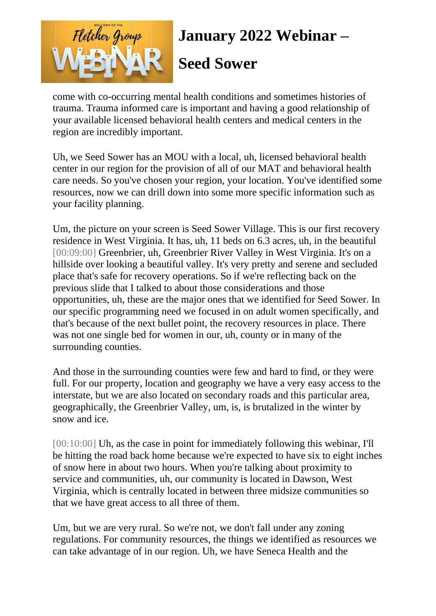

come with co-occurring mental health conditions and sometimes histories of trauma. Trauma informed care is important and having a good relationship of your available licensed behavioral health centers and medical centers in the region are incredibly important.

Uh, we Seed Sower has an MOU with a local, uh, licensed behavioral health center in our region for the provision of all of our MAT and behavioral health care needs. So you've chosen your region, your location. You've identified some resources, now we can drill down into some more specific information such as your facility planning.

Um, the picture on your screen is Seed Sower Village. This is our first recovery residence in West Virginia. It has, uh, 11 beds on 6.3 acres, uh, in the beautiful [00:09:00] Greenbrier, uh, Greenbrier River Valley in West Virginia. It's on a hillside over looking a beautiful valley. It's very pretty and serene and secluded place that's safe for recovery operations. So if we're reflecting back on the previous slide that I talked to about those considerations and those opportunities, uh, these are the major ones that we identified for Seed Sower. In our specific programming need we focused in on adult women specifically, and that's because of the next bullet point, the recovery resources in place. There was not one single bed for women in our, uh, county or in many of the surrounding counties.

And those in the surrounding counties were few and hard to find, or they were full. For our property, location and geography we have a very easy access to the interstate, but we are also located on secondary roads and this particular area, geographically, the Greenbrier Valley, um, is, is brutalized in the winter by snow and ice.

[00:10:00] Uh, as the case in point for immediately following this webinar, I'll be hitting the road back home because we're expected to have six to eight inches of snow here in about two hours. When you're talking about proximity to service and communities, uh, our community is located in Dawson, West Virginia, which is centrally located in between three midsize communities so that we have great access to all three of them.

Um, but we are very rural. So we're not, we don't fall under any zoning regulations. For community resources, the things we identified as resources we can take advantage of in our region. Uh, we have Seneca Health and the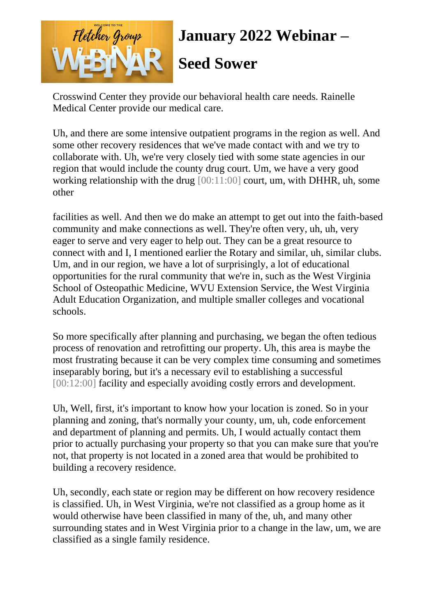

Crosswind Center they provide our behavioral health care needs. Rainelle Medical Center provide our medical care.

Uh, and there are some intensive outpatient programs in the region as well. And some other recovery residences that we've made contact with and we try to collaborate with. Uh, we're very closely tied with some state agencies in our region that would include the county drug court. Um, we have a very good working relationship with the drug [00:11:00] court, um, with DHHR, uh, some other

facilities as well. And then we do make an attempt to get out into the faith-based community and make connections as well. They're often very, uh, uh, very eager to serve and very eager to help out. They can be a great resource to connect with and I, I mentioned earlier the Rotary and similar, uh, similar clubs. Um, and in our region, we have a lot of surprisingly, a lot of educational opportunities for the rural community that we're in, such as the West Virginia School of Osteopathic Medicine, WVU Extension Service, the West Virginia Adult Education Organization, and multiple smaller colleges and vocational schools.

So more specifically after planning and purchasing, we began the often tedious process of renovation and retrofitting our property. Uh, this area is maybe the most frustrating because it can be very complex time consuming and sometimes inseparably boring, but it's a necessary evil to establishing a successful [00:12:00] facility and especially avoiding costly errors and development.

Uh, Well, first, it's important to know how your location is zoned. So in your planning and zoning, that's normally your county, um, uh, code enforcement and department of planning and permits. Uh, I would actually contact them prior to actually purchasing your property so that you can make sure that you're not, that property is not located in a zoned area that would be prohibited to building a recovery residence.

Uh, secondly, each state or region may be different on how recovery residence is classified. Uh, in West Virginia, we're not classified as a group home as it would otherwise have been classified in many of the, uh, and many other surrounding states and in West Virginia prior to a change in the law, um, we are classified as a single family residence.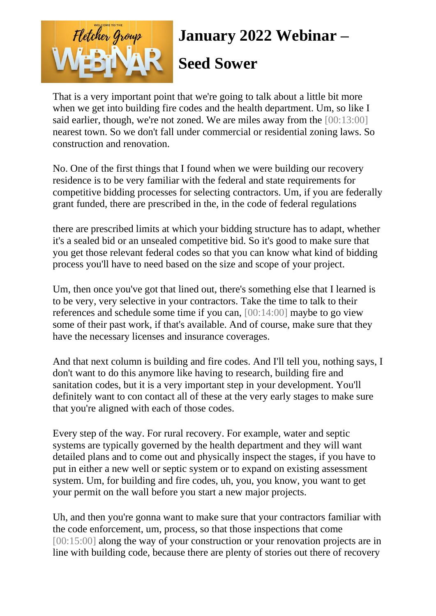

That is a very important point that we're going to talk about a little bit more when we get into building fire codes and the health department. Um, so like I said earlier, though, we're not zoned. We are miles away from the [00:13:00] nearest town. So we don't fall under commercial or residential zoning laws. So construction and renovation.

No. One of the first things that I found when we were building our recovery residence is to be very familiar with the federal and state requirements for competitive bidding processes for selecting contractors. Um, if you are federally grant funded, there are prescribed in the, in the code of federal regulations

there are prescribed limits at which your bidding structure has to adapt, whether it's a sealed bid or an unsealed competitive bid. So it's good to make sure that you get those relevant federal codes so that you can know what kind of bidding process you'll have to need based on the size and scope of your project.

Um, then once you've got that lined out, there's something else that I learned is to be very, very selective in your contractors. Take the time to talk to their references and schedule some time if you can, [00:14:00] maybe to go view some of their past work, if that's available. And of course, make sure that they have the necessary licenses and insurance coverages.

And that next column is building and fire codes. And I'll tell you, nothing says, I don't want to do this anymore like having to research, building fire and sanitation codes, but it is a very important step in your development. You'll definitely want to con contact all of these at the very early stages to make sure that you're aligned with each of those codes.

Every step of the way. For rural recovery. For example, water and septic systems are typically governed by the health department and they will want detailed plans and to come out and physically inspect the stages, if you have to put in either a new well or septic system or to expand on existing assessment system. Um, for building and fire codes, uh, you, you know, you want to get your permit on the wall before you start a new major projects.

Uh, and then you're gonna want to make sure that your contractors familiar with the code enforcement, um, process, so that those inspections that come [00:15:00] along the way of your construction or your renovation projects are in line with building code, because there are plenty of stories out there of recovery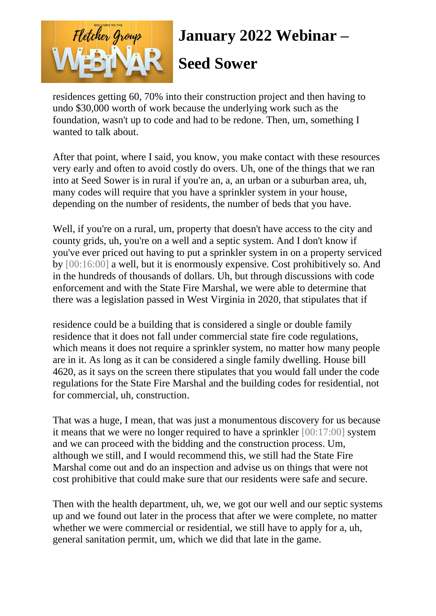

**Seed Sower**

residences getting 60, 70% into their construction project and then having to undo \$30,000 worth of work because the underlying work such as the foundation, wasn't up to code and had to be redone. Then, um, something I wanted to talk about.

After that point, where I said, you know, you make contact with these resources very early and often to avoid costly do overs. Uh, one of the things that we ran into at Seed Sower is in rural if you're an, a, an urban or a suburban area, uh, many codes will require that you have a sprinkler system in your house, depending on the number of residents, the number of beds that you have.

Well, if you're on a rural, um, property that doesn't have access to the city and county grids, uh, you're on a well and a septic system. And I don't know if you've ever priced out having to put a sprinkler system in on a property serviced by [00:16:00] a well, but it is enormously expensive. Cost prohibitively so. And in the hundreds of thousands of dollars. Uh, but through discussions with code enforcement and with the State Fire Marshal, we were able to determine that there was a legislation passed in West Virginia in 2020, that stipulates that if

residence could be a building that is considered a single or double family residence that it does not fall under commercial state fire code regulations, which means it does not require a sprinkler system, no matter how many people are in it. As long as it can be considered a single family dwelling. House bill 4620, as it says on the screen there stipulates that you would fall under the code regulations for the State Fire Marshal and the building codes for residential, not for commercial, uh, construction.

That was a huge, I mean, that was just a monumentous discovery for us because it means that we were no longer required to have a sprinkler [00:17:00] system and we can proceed with the bidding and the construction process. Um, although we still, and I would recommend this, we still had the State Fire Marshal come out and do an inspection and advise us on things that were not cost prohibitive that could make sure that our residents were safe and secure.

Then with the health department, uh, we, we got our well and our septic systems up and we found out later in the process that after we were complete, no matter whether we were commercial or residential, we still have to apply for a, uh, general sanitation permit, um, which we did that late in the game.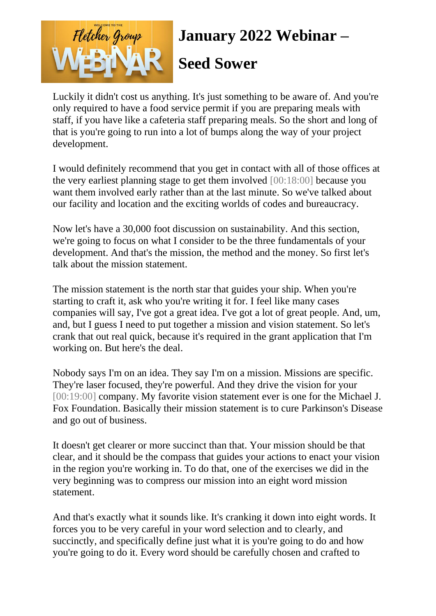

Luckily it didn't cost us anything. It's just something to be aware of. And you're only required to have a food service permit if you are preparing meals with staff, if you have like a cafeteria staff preparing meals. So the short and long of that is you're going to run into a lot of bumps along the way of your project development.

I would definitely recommend that you get in contact with all of those offices at the very earliest planning stage to get them involved [00:18:00] because you want them involved early rather than at the last minute. So we've talked about our facility and location and the exciting worlds of codes and bureaucracy.

Now let's have a 30,000 foot discussion on sustainability. And this section, we're going to focus on what I consider to be the three fundamentals of your development. And that's the mission, the method and the money. So first let's talk about the mission statement.

The mission statement is the north star that guides your ship. When you're starting to craft it, ask who you're writing it for. I feel like many cases companies will say, I've got a great idea. I've got a lot of great people. And, um, and, but I guess I need to put together a mission and vision statement. So let's crank that out real quick, because it's required in the grant application that I'm working on. But here's the deal.

Nobody says I'm on an idea. They say I'm on a mission. Missions are specific. They're laser focused, they're powerful. And they drive the vision for your [00:19:00] company. My favorite vision statement ever is one for the Michael J. Fox Foundation. Basically their mission statement is to cure Parkinson's Disease and go out of business.

It doesn't get clearer or more succinct than that. Your mission should be that clear, and it should be the compass that guides your actions to enact your vision in the region you're working in. To do that, one of the exercises we did in the very beginning was to compress our mission into an eight word mission statement.

And that's exactly what it sounds like. It's cranking it down into eight words. It forces you to be very careful in your word selection and to clearly, and succinctly, and specifically define just what it is you're going to do and how you're going to do it. Every word should be carefully chosen and crafted to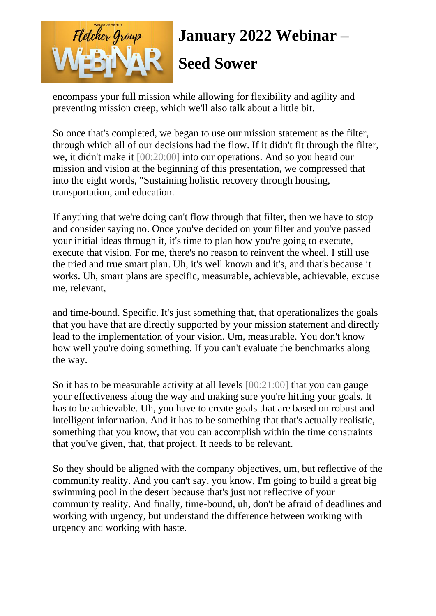

encompass your full mission while allowing for flexibility and agility and preventing mission creep, which we'll also talk about a little bit.

So once that's completed, we began to use our mission statement as the filter, through which all of our decisions had the flow. If it didn't fit through the filter, we, it didn't make it [00:20:00] into our operations. And so you heard our mission and vision at the beginning of this presentation, we compressed that into the eight words, "Sustaining holistic recovery through housing, transportation, and education.

If anything that we're doing can't flow through that filter, then we have to stop and consider saying no. Once you've decided on your filter and you've passed your initial ideas through it, it's time to plan how you're going to execute, execute that vision. For me, there's no reason to reinvent the wheel. I still use the tried and true smart plan. Uh, it's well known and it's, and that's because it works. Uh, smart plans are specific, measurable, achievable, achievable, excuse me, relevant,

and time-bound. Specific. It's just something that, that operationalizes the goals that you have that are directly supported by your mission statement and directly lead to the implementation of your vision. Um, measurable. You don't know how well you're doing something. If you can't evaluate the benchmarks along the way.

So it has to be measurable activity at all levels [00:21:00] that you can gauge your effectiveness along the way and making sure you're hitting your goals. It has to be achievable. Uh, you have to create goals that are based on robust and intelligent information. And it has to be something that that's actually realistic, something that you know, that you can accomplish within the time constraints that you've given, that, that project. It needs to be relevant.

So they should be aligned with the company objectives, um, but reflective of the community reality. And you can't say, you know, I'm going to build a great big swimming pool in the desert because that's just not reflective of your community reality. And finally, time-bound, uh, don't be afraid of deadlines and working with urgency, but understand the difference between working with urgency and working with haste.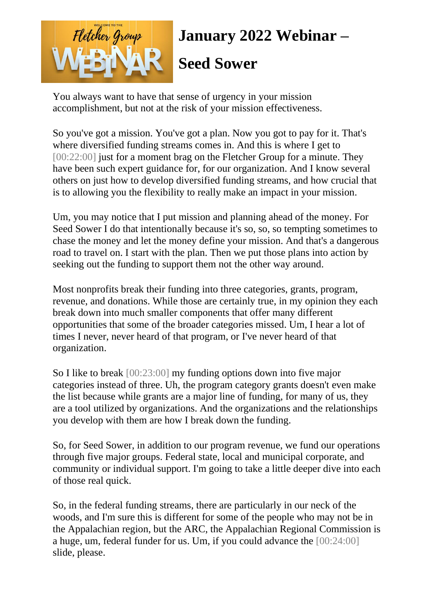

You always want to have that sense of urgency in your mission accomplishment, but not at the risk of your mission effectiveness.

So you've got a mission. You've got a plan. Now you got to pay for it. That's where diversified funding streams comes in. And this is where I get to [00:22:00] just for a moment brag on the Fletcher Group for a minute. They have been such expert guidance for, for our organization. And I know several others on just how to develop diversified funding streams, and how crucial that is to allowing you the flexibility to really make an impact in your mission.

Um, you may notice that I put mission and planning ahead of the money. For Seed Sower I do that intentionally because it's so, so, so tempting sometimes to chase the money and let the money define your mission. And that's a dangerous road to travel on. I start with the plan. Then we put those plans into action by seeking out the funding to support them not the other way around.

Most nonprofits break their funding into three categories, grants, program, revenue, and donations. While those are certainly true, in my opinion they each break down into much smaller components that offer many different opportunities that some of the broader categories missed. Um, I hear a lot of times I never, never heard of that program, or I've never heard of that organization.

So I like to break [00:23:00] my funding options down into five major categories instead of three. Uh, the program category grants doesn't even make the list because while grants are a major line of funding, for many of us, they are a tool utilized by organizations. And the organizations and the relationships you develop with them are how I break down the funding.

So, for Seed Sower, in addition to our program revenue, we fund our operations through five major groups. Federal state, local and municipal corporate, and community or individual support. I'm going to take a little deeper dive into each of those real quick.

So, in the federal funding streams, there are particularly in our neck of the woods, and I'm sure this is different for some of the people who may not be in the Appalachian region, but the ARC, the Appalachian Regional Commission is a huge, um, federal funder for us. Um, if you could advance the [00:24:00] slide, please.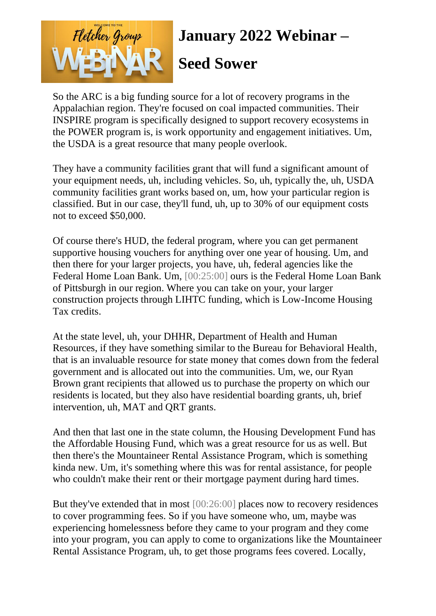

#### **Seed Sower**

So the ARC is a big funding source for a lot of recovery programs in the Appalachian region. They're focused on coal impacted communities. Their INSPIRE program is specifically designed to support recovery ecosystems in the POWER program is, is work opportunity and engagement initiatives. Um, the USDA is a great resource that many people overlook.

They have a community facilities grant that will fund a significant amount of your equipment needs, uh, including vehicles. So, uh, typically the, uh, USDA community facilities grant works based on, um, how your particular region is classified. But in our case, they'll fund, uh, up to 30% of our equipment costs not to exceed \$50,000.

Of course there's HUD, the federal program, where you can get permanent supportive housing vouchers for anything over one year of housing. Um, and then there for your larger projects, you have, uh, federal agencies like the Federal Home Loan Bank. Um, [00:25:00] ours is the Federal Home Loan Bank of Pittsburgh in our region. Where you can take on your, your larger construction projects through LIHTC funding, which is Low-Income Housing Tax credits.

At the state level, uh, your DHHR, Department of Health and Human Resources, if they have something similar to the Bureau for Behavioral Health, that is an invaluable resource for state money that comes down from the federal government and is allocated out into the communities. Um, we, our Ryan Brown grant recipients that allowed us to purchase the property on which our residents is located, but they also have residential boarding grants, uh, brief intervention, uh, MAT and QRT grants.

And then that last one in the state column, the Housing Development Fund has the Affordable Housing Fund, which was a great resource for us as well. But then there's the Mountaineer Rental Assistance Program, which is something kinda new. Um, it's something where this was for rental assistance, for people who couldn't make their rent or their mortgage payment during hard times.

But they've extended that in most [00:26:00] places now to recovery residences to cover programming fees. So if you have someone who, um, maybe was experiencing homelessness before they came to your program and they come into your program, you can apply to come to organizations like the Mountaineer Rental Assistance Program, uh, to get those programs fees covered. Locally,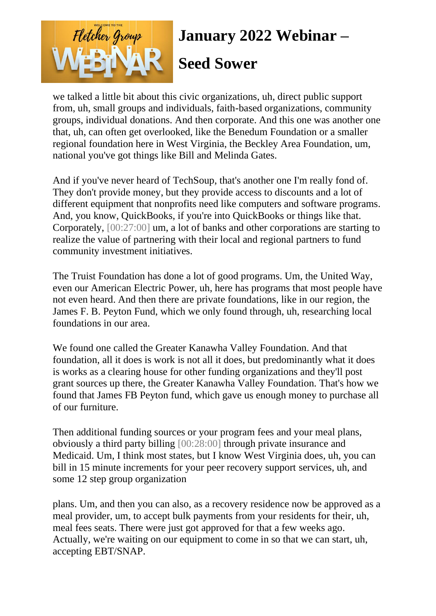

we talked a little bit about this civic organizations, uh, direct public support from, uh, small groups and individuals, faith-based organizations, community groups, individual donations. And then corporate. And this one was another one that, uh, can often get overlooked, like the Benedum Foundation or a smaller regional foundation here in West Virginia, the Beckley Area Foundation, um, national you've got things like Bill and Melinda Gates.

And if you've never heard of TechSoup, that's another one I'm really fond of. They don't provide money, but they provide access to discounts and a lot of different equipment that nonprofits need like computers and software programs. And, you know, QuickBooks, if you're into QuickBooks or things like that. Corporately, [00:27:00] um, a lot of banks and other corporations are starting to realize the value of partnering with their local and regional partners to fund community investment initiatives.

The Truist Foundation has done a lot of good programs. Um, the United Way, even our American Electric Power, uh, here has programs that most people have not even heard. And then there are private foundations, like in our region, the James F. B. Peyton Fund, which we only found through, uh, researching local foundations in our area.

We found one called the Greater Kanawha Valley Foundation. And that foundation, all it does is work is not all it does, but predominantly what it does is works as a clearing house for other funding organizations and they'll post grant sources up there, the Greater Kanawha Valley Foundation. That's how we found that James FB Peyton fund, which gave us enough money to purchase all of our furniture.

Then additional funding sources or your program fees and your meal plans, obviously a third party billing [00:28:00] through private insurance and Medicaid. Um, I think most states, but I know West Virginia does, uh, you can bill in 15 minute increments for your peer recovery support services, uh, and some 12 step group organization

plans. Um, and then you can also, as a recovery residence now be approved as a meal provider, um, to accept bulk payments from your residents for their, uh, meal fees seats. There were just got approved for that a few weeks ago. Actually, we're waiting on our equipment to come in so that we can start, uh, accepting EBT/SNAP.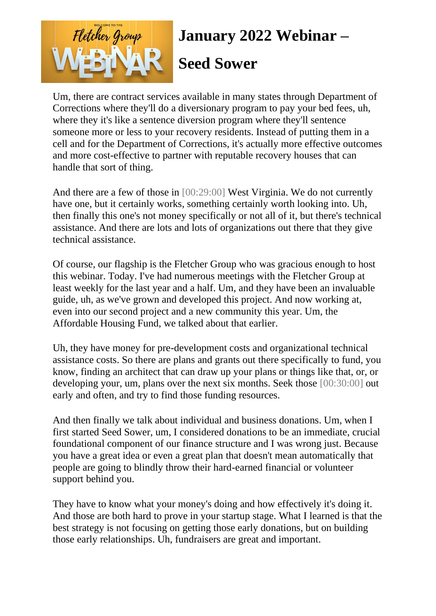

Um, there are contract services available in many states through Department of Corrections where they'll do a diversionary program to pay your bed fees, uh, where they it's like a sentence diversion program where they'll sentence someone more or less to your recovery residents. Instead of putting them in a cell and for the Department of Corrections, it's actually more effective outcomes and more cost-effective to partner with reputable recovery houses that can handle that sort of thing.

And there are a few of those in [00:29:00] West Virginia. We do not currently have one, but it certainly works, something certainly worth looking into. Uh, then finally this one's not money specifically or not all of it, but there's technical assistance. And there are lots and lots of organizations out there that they give technical assistance.

Of course, our flagship is the Fletcher Group who was gracious enough to host this webinar. Today. I've had numerous meetings with the Fletcher Group at least weekly for the last year and a half. Um, and they have been an invaluable guide, uh, as we've grown and developed this project. And now working at, even into our second project and a new community this year. Um, the Affordable Housing Fund, we talked about that earlier.

Uh, they have money for pre-development costs and organizational technical assistance costs. So there are plans and grants out there specifically to fund, you know, finding an architect that can draw up your plans or things like that, or, or developing your, um, plans over the next six months. Seek those [00:30:00] out early and often, and try to find those funding resources.

And then finally we talk about individual and business donations. Um, when I first started Seed Sower, um, I considered donations to be an immediate, crucial foundational component of our finance structure and I was wrong just. Because you have a great idea or even a great plan that doesn't mean automatically that people are going to blindly throw their hard-earned financial or volunteer support behind you.

They have to know what your money's doing and how effectively it's doing it. And those are both hard to prove in your startup stage. What I learned is that the best strategy is not focusing on getting those early donations, but on building those early relationships. Uh, fundraisers are great and important.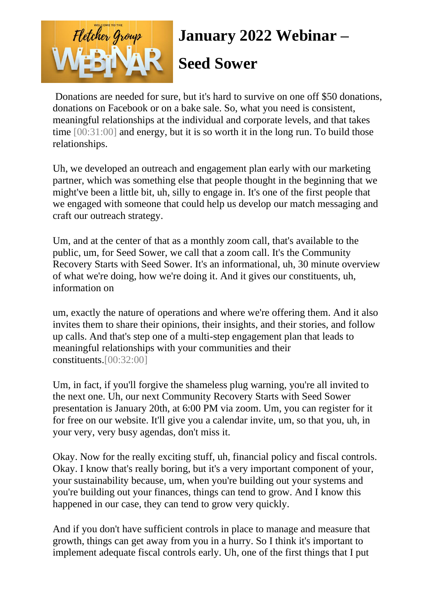

Donations are needed for sure, but it's hard to survive on one off \$50 donations, donations on Facebook or on a bake sale. So, what you need is consistent, meaningful relationships at the individual and corporate levels, and that takes time [00:31:00] and energy, but it is so worth it in the long run. To build those relationships.

Uh, we developed an outreach and engagement plan early with our marketing partner, which was something else that people thought in the beginning that we might've been a little bit, uh, silly to engage in. It's one of the first people that we engaged with someone that could help us develop our match messaging and craft our outreach strategy.

Um, and at the center of that as a monthly zoom call, that's available to the public, um, for Seed Sower, we call that a zoom call. It's the Community Recovery Starts with Seed Sower. It's an informational, uh, 30 minute overview of what we're doing, how we're doing it. And it gives our constituents, uh, information on

um, exactly the nature of operations and where we're offering them. And it also invites them to share their opinions, their insights, and their stories, and follow up calls. And that's step one of a multi-step engagement plan that leads to meaningful relationships with your communities and their constituents.[00:32:00]

Um, in fact, if you'll forgive the shameless plug warning, you're all invited to the next one. Uh, our next Community Recovery Starts with Seed Sower presentation is January 20th, at 6:00 PM via zoom. Um, you can register for it for free on our website. It'll give you a calendar invite, um, so that you, uh, in your very, very busy agendas, don't miss it.

Okay. Now for the really exciting stuff, uh, financial policy and fiscal controls. Okay. I know that's really boring, but it's a very important component of your, your sustainability because, um, when you're building out your systems and you're building out your finances, things can tend to grow. And I know this happened in our case, they can tend to grow very quickly.

And if you don't have sufficient controls in place to manage and measure that growth, things can get away from you in a hurry. So I think it's important to implement adequate fiscal controls early. Uh, one of the first things that I put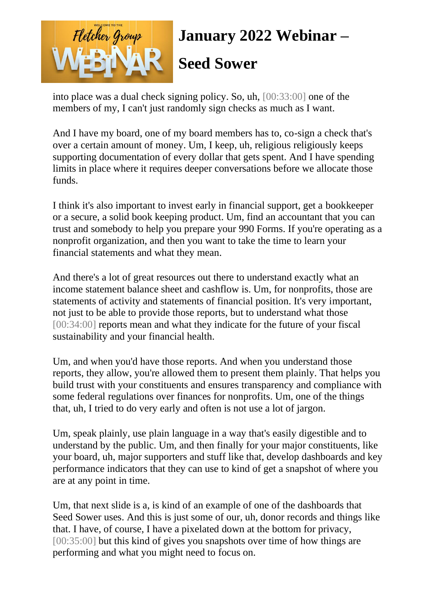

into place was a dual check signing policy. So, uh, [00:33:00] one of the members of my, I can't just randomly sign checks as much as I want.

And I have my board, one of my board members has to, co-sign a check that's over a certain amount of money. Um, I keep, uh, religious religiously keeps supporting documentation of every dollar that gets spent. And I have spending limits in place where it requires deeper conversations before we allocate those funds.

I think it's also important to invest early in financial support, get a bookkeeper or a secure, a solid book keeping product. Um, find an accountant that you can trust and somebody to help you prepare your 990 Forms. If you're operating as a nonprofit organization, and then you want to take the time to learn your financial statements and what they mean.

And there's a lot of great resources out there to understand exactly what an income statement balance sheet and cashflow is. Um, for nonprofits, those are statements of activity and statements of financial position. It's very important, not just to be able to provide those reports, but to understand what those [00:34:00] reports mean and what they indicate for the future of your fiscal sustainability and your financial health.

Um, and when you'd have those reports. And when you understand those reports, they allow, you're allowed them to present them plainly. That helps you build trust with your constituents and ensures transparency and compliance with some federal regulations over finances for nonprofits. Um, one of the things that, uh, I tried to do very early and often is not use a lot of jargon.

Um, speak plainly, use plain language in a way that's easily digestible and to understand by the public. Um, and then finally for your major constituents, like your board, uh, major supporters and stuff like that, develop dashboards and key performance indicators that they can use to kind of get a snapshot of where you are at any point in time.

Um, that next slide is a, is kind of an example of one of the dashboards that Seed Sower uses. And this is just some of our, uh, donor records and things like that. I have, of course, I have a pixelated down at the bottom for privacy, [00:35:00] but this kind of gives you snapshots over time of how things are performing and what you might need to focus on.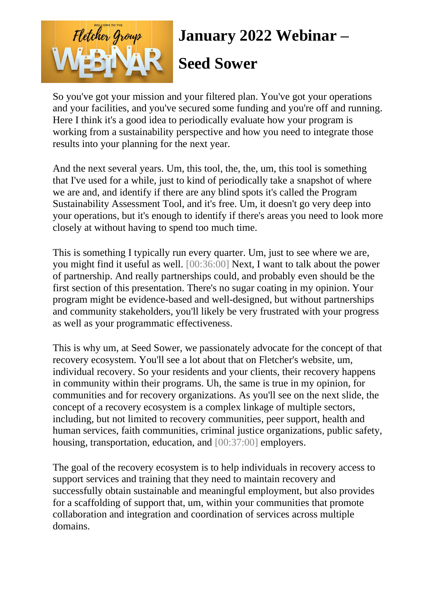

#### **Seed Sower**

So you've got your mission and your filtered plan. You've got your operations and your facilities, and you've secured some funding and you're off and running. Here I think it's a good idea to periodically evaluate how your program is working from a sustainability perspective and how you need to integrate those results into your planning for the next year.

And the next several years. Um, this tool, the, the, um, this tool is something that I've used for a while, just to kind of periodically take a snapshot of where we are and, and identify if there are any blind spots it's called the Program Sustainability Assessment Tool, and it's free. Um, it doesn't go very deep into your operations, but it's enough to identify if there's areas you need to look more closely at without having to spend too much time.

This is something I typically run every quarter. Um, just to see where we are, you might find it useful as well. [00:36:00] Next, I want to talk about the power of partnership. And really partnerships could, and probably even should be the first section of this presentation. There's no sugar coating in my opinion. Your program might be evidence-based and well-designed, but without partnerships and community stakeholders, you'll likely be very frustrated with your progress as well as your programmatic effectiveness.

This is why um, at Seed Sower, we passionately advocate for the concept of that recovery ecosystem. You'll see a lot about that on Fletcher's website, um, individual recovery. So your residents and your clients, their recovery happens in community within their programs. Uh, the same is true in my opinion, for communities and for recovery organizations. As you'll see on the next slide, the concept of a recovery ecosystem is a complex linkage of multiple sectors, including, but not limited to recovery communities, peer support, health and human services, faith communities, criminal justice organizations, public safety, housing, transportation, education, and [00:37:00] employers.

The goal of the recovery ecosystem is to help individuals in recovery access to support services and training that they need to maintain recovery and successfully obtain sustainable and meaningful employment, but also provides for a scaffolding of support that, um, within your communities that promote collaboration and integration and coordination of services across multiple domains.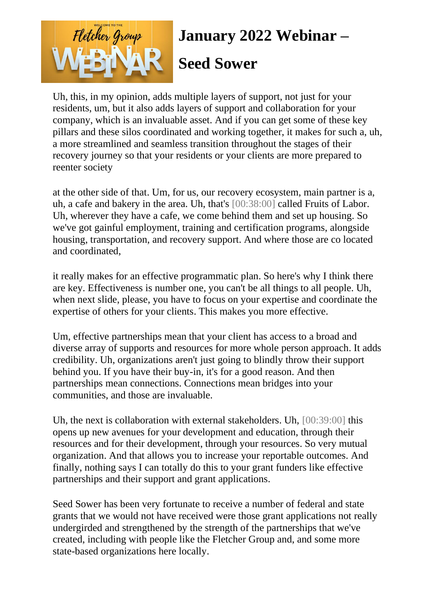

Uh, this, in my opinion, adds multiple layers of support, not just for your residents, um, but it also adds layers of support and collaboration for your company, which is an invaluable asset. And if you can get some of these key pillars and these silos coordinated and working together, it makes for such a, uh, a more streamlined and seamless transition throughout the stages of their recovery journey so that your residents or your clients are more prepared to reenter society

at the other side of that. Um, for us, our recovery ecosystem, main partner is a, uh, a cafe and bakery in the area. Uh, that's [00:38:00] called Fruits of Labor. Uh, wherever they have a cafe, we come behind them and set up housing. So we've got gainful employment, training and certification programs, alongside housing, transportation, and recovery support. And where those are co located and coordinated,

it really makes for an effective programmatic plan. So here's why I think there are key. Effectiveness is number one, you can't be all things to all people. Uh, when next slide, please, you have to focus on your expertise and coordinate the expertise of others for your clients. This makes you more effective.

Um, effective partnerships mean that your client has access to a broad and diverse array of supports and resources for more whole person approach. It adds credibility. Uh, organizations aren't just going to blindly throw their support behind you. If you have their buy-in, it's for a good reason. And then partnerships mean connections. Connections mean bridges into your communities, and those are invaluable.

Uh, the next is collaboration with external stakeholders. Uh, [00:39:00] this opens up new avenues for your development and education, through their resources and for their development, through your resources. So very mutual organization. And that allows you to increase your reportable outcomes. And finally, nothing says I can totally do this to your grant funders like effective partnerships and their support and grant applications.

Seed Sower has been very fortunate to receive a number of federal and state grants that we would not have received were those grant applications not really undergirded and strengthened by the strength of the partnerships that we've created, including with people like the Fletcher Group and, and some more state-based organizations here locally.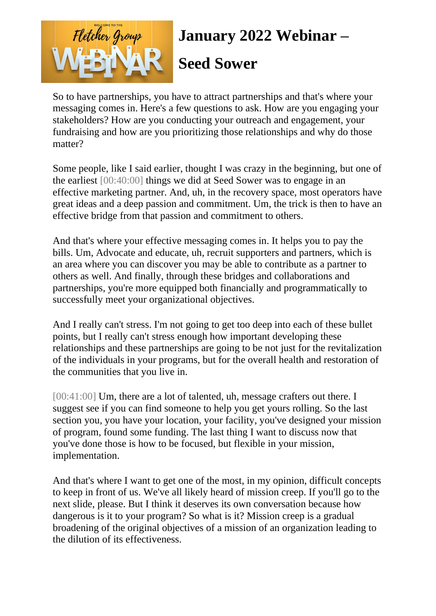

So to have partnerships, you have to attract partnerships and that's where your messaging comes in. Here's a few questions to ask. How are you engaging your stakeholders? How are you conducting your outreach and engagement, your fundraising and how are you prioritizing those relationships and why do those matter?

Some people, like I said earlier, thought I was crazy in the beginning, but one of the earliest [00:40:00] things we did at Seed Sower was to engage in an effective marketing partner. And, uh, in the recovery space, most operators have great ideas and a deep passion and commitment. Um, the trick is then to have an effective bridge from that passion and commitment to others.

And that's where your effective messaging comes in. It helps you to pay the bills. Um, Advocate and educate, uh, recruit supporters and partners, which is an area where you can discover you may be able to contribute as a partner to others as well. And finally, through these bridges and collaborations and partnerships, you're more equipped both financially and programmatically to successfully meet your organizational objectives.

And I really can't stress. I'm not going to get too deep into each of these bullet points, but I really can't stress enough how important developing these relationships and these partnerships are going to be not just for the revitalization of the individuals in your programs, but for the overall health and restoration of the communities that you live in.

[00:41:00] Um, there are a lot of talented, uh, message crafters out there. I suggest see if you can find someone to help you get yours rolling. So the last section you, you have your location, your facility, you've designed your mission of program, found some funding. The last thing I want to discuss now that you've done those is how to be focused, but flexible in your mission, implementation.

And that's where I want to get one of the most, in my opinion, difficult concepts to keep in front of us. We've all likely heard of mission creep. If you'll go to the next slide, please. But I think it deserves its own conversation because how dangerous is it to your program? So what is it? Mission creep is a gradual broadening of the original objectives of a mission of an organization leading to the dilution of its effectiveness.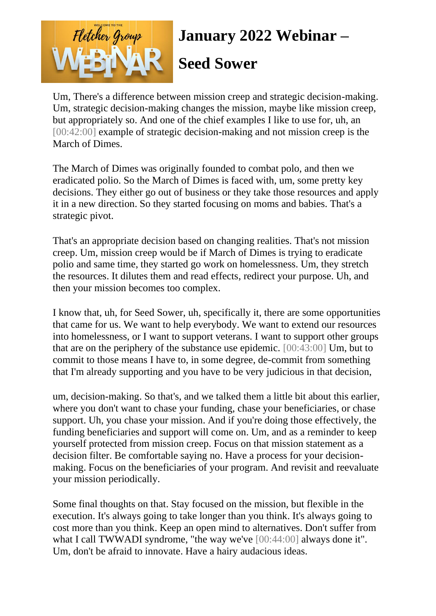

Um, There's a difference between mission creep and strategic decision-making. Um, strategic decision-making changes the mission, maybe like mission creep, but appropriately so. And one of the chief examples I like to use for, uh, an [00:42:00] example of strategic decision-making and not mission creep is the March of Dimes.

The March of Dimes was originally founded to combat polo, and then we eradicated polio. So the March of Dimes is faced with, um, some pretty key decisions. They either go out of business or they take those resources and apply it in a new direction. So they started focusing on moms and babies. That's a strategic pivot.

That's an appropriate decision based on changing realities. That's not mission creep. Um, mission creep would be if March of Dimes is trying to eradicate polio and same time, they started go work on homelessness. Um, they stretch the resources. It dilutes them and read effects, redirect your purpose. Uh, and then your mission becomes too complex.

I know that, uh, for Seed Sower, uh, specifically it, there are some opportunities that came for us. We want to help everybody. We want to extend our resources into homelessness, or I want to support veterans. I want to support other groups that are on the periphery of the substance use epidemic. [00:43:00] Um, but to commit to those means I have to, in some degree, de-commit from something that I'm already supporting and you have to be very judicious in that decision,

um, decision-making. So that's, and we talked them a little bit about this earlier, where you don't want to chase your funding, chase your beneficiaries, or chase support. Uh, you chase your mission. And if you're doing those effectively, the funding beneficiaries and support will come on. Um, and as a reminder to keep yourself protected from mission creep. Focus on that mission statement as a decision filter. Be comfortable saying no. Have a process for your decisionmaking. Focus on the beneficiaries of your program. And revisit and reevaluate your mission periodically.

Some final thoughts on that. Stay focused on the mission, but flexible in the execution. It's always going to take longer than you think. It's always going to cost more than you think. Keep an open mind to alternatives. Don't suffer from what I call TWWADI syndrome, "the way we've [00:44:00] always done it". Um, don't be afraid to innovate. Have a hairy audacious ideas.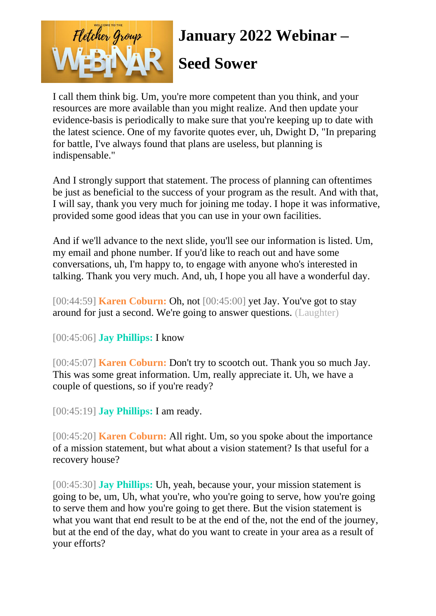

I call them think big. Um, you're more competent than you think, and your resources are more available than you might realize. And then update your evidence-basis is periodically to make sure that you're keeping up to date with the latest science. One of my favorite quotes ever, uh, Dwight D, "In preparing for battle, I've always found that plans are useless, but planning is indispensable."

And I strongly support that statement. The process of planning can oftentimes be just as beneficial to the success of your program as the result. And with that, I will say, thank you very much for joining me today. I hope it was informative, provided some good ideas that you can use in your own facilities.

And if we'll advance to the next slide, you'll see our information is listed. Um, my email and phone number. If you'd like to reach out and have some conversations, uh, I'm happy to, to engage with anyone who's interested in talking. Thank you very much. And, uh, I hope you all have a wonderful day.

[00:44:59] **Karen Coburn:** Oh, not [00:45:00] yet Jay. You've got to stay around for just a second. We're going to answer questions. (Laughter)

[00:45:06] **Jay Phillips:** I know

[00:45:07] **Karen Coburn:** Don't try to scootch out. Thank you so much Jay. This was some great information. Um, really appreciate it. Uh, we have a couple of questions, so if you're ready?

[00:45:19] **Jay Phillips:** I am ready.

[00:45:20] **Karen Coburn:** All right. Um, so you spoke about the importance of a mission statement, but what about a vision statement? Is that useful for a recovery house?

[00:45:30] **Jay Phillips:** Uh, yeah, because your, your mission statement is going to be, um, Uh, what you're, who you're going to serve, how you're going to serve them and how you're going to get there. But the vision statement is what you want that end result to be at the end of the, not the end of the journey, but at the end of the day, what do you want to create in your area as a result of your efforts?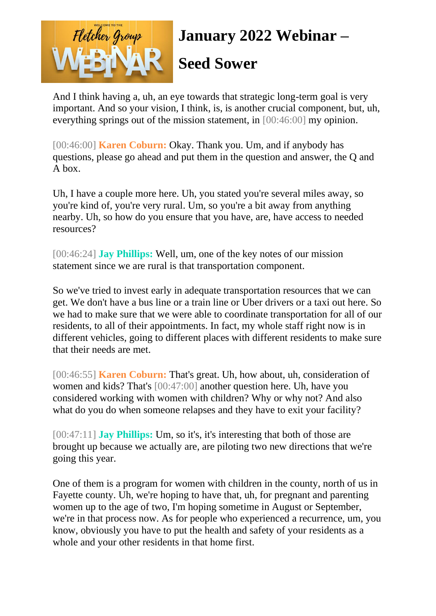

#### **Seed Sower**

And I think having a, uh, an eye towards that strategic long-term goal is very important. And so your vision, I think, is, is another crucial component, but, uh, everything springs out of the mission statement, in [00:46:00] my opinion.

[00:46:00] **Karen Coburn:** Okay. Thank you. Um, and if anybody has questions, please go ahead and put them in the question and answer, the Q and A box.

Uh, I have a couple more here. Uh, you stated you're several miles away, so you're kind of, you're very rural. Um, so you're a bit away from anything nearby. Uh, so how do you ensure that you have, are, have access to needed resources?

[00:46:24] **Jay Phillips:** Well, um, one of the key notes of our mission statement since we are rural is that transportation component.

So we've tried to invest early in adequate transportation resources that we can get. We don't have a bus line or a train line or Uber drivers or a taxi out here. So we had to make sure that we were able to coordinate transportation for all of our residents, to all of their appointments. In fact, my whole staff right now is in different vehicles, going to different places with different residents to make sure that their needs are met.

[00:46:55] **Karen Coburn:** That's great. Uh, how about, uh, consideration of women and kids? That's [00:47:00] another question here. Uh, have you considered working with women with children? Why or why not? And also what do you do when someone relapses and they have to exit your facility?

[00:47:11] **Jay Phillips:** Um, so it's, it's interesting that both of those are brought up because we actually are, are piloting two new directions that we're going this year.

One of them is a program for women with children in the county, north of us in Fayette county. Uh, we're hoping to have that, uh, for pregnant and parenting women up to the age of two, I'm hoping sometime in August or September, we're in that process now. As for people who experienced a recurrence, um, you know, obviously you have to put the health and safety of your residents as a whole and your other residents in that home first.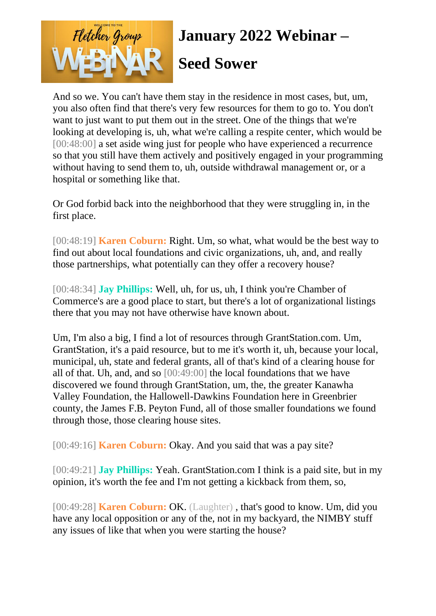

And so we. You can't have them stay in the residence in most cases, but, um, you also often find that there's very few resources for them to go to. You don't want to just want to put them out in the street. One of the things that we're looking at developing is, uh, what we're calling a respite center, which would be [00:48:00] a set aside wing just for people who have experienced a recurrence so that you still have them actively and positively engaged in your programming without having to send them to, uh, outside withdrawal management or, or a hospital or something like that.

Or God forbid back into the neighborhood that they were struggling in, in the first place.

[00:48:19] **Karen Coburn:** Right. Um, so what, what would be the best way to find out about local foundations and civic organizations, uh, and, and really those partnerships, what potentially can they offer a recovery house?

[00:48:34] **Jay Phillips:** Well, uh, for us, uh, I think you're Chamber of Commerce's are a good place to start, but there's a lot of organizational listings there that you may not have otherwise have known about.

Um, I'm also a big, I find a lot of resources through GrantStation.com. Um, GrantStation, it's a paid resource, but to me it's worth it, uh, because your local, municipal, uh, state and federal grants, all of that's kind of a clearing house for all of that. Uh, and, and so [00:49:00] the local foundations that we have discovered we found through GrantStation, um, the, the greater Kanawha Valley Foundation, the Hallowell-Dawkins Foundation here in Greenbrier county, the James F.B. Peyton Fund, all of those smaller foundations we found through those, those clearing house sites.

[00:49:16] **Karen Coburn:** Okay. And you said that was a pay site?

[00:49:21] **Jay Phillips:** Yeah. GrantStation.com I think is a paid site, but in my opinion, it's worth the fee and I'm not getting a kickback from them, so,

[00:49:28] **Karen Coburn:** OK. (Laughter) , that's good to know. Um, did you have any local opposition or any of the, not in my backyard, the NIMBY stuff any issues of like that when you were starting the house?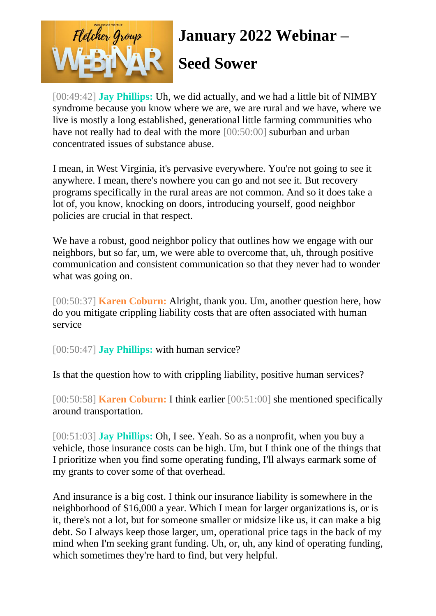

#### **Seed Sower**

[00:49:42] **Jay Phillips:** Uh, we did actually, and we had a little bit of NIMBY syndrome because you know where we are, we are rural and we have, where we live is mostly a long established, generational little farming communities who have not really had to deal with the more [00:50:00] suburban and urban concentrated issues of substance abuse.

I mean, in West Virginia, it's pervasive everywhere. You're not going to see it anywhere. I mean, there's nowhere you can go and not see it. But recovery programs specifically in the rural areas are not common. And so it does take a lot of, you know, knocking on doors, introducing yourself, good neighbor policies are crucial in that respect.

We have a robust, good neighbor policy that outlines how we engage with our neighbors, but so far, um, we were able to overcome that, uh, through positive communication and consistent communication so that they never had to wonder what was going on.

[00:50:37] **Karen Coburn:** Alright, thank you. Um, another question here, how do you mitigate crippling liability costs that are often associated with human service

[00:50:47] **Jay Phillips:** with human service?

Is that the question how to with crippling liability, positive human services?

[00:50:58] **Karen Coburn:** I think earlier [00:51:00] she mentioned specifically around transportation.

[00:51:03] **Jay Phillips:** Oh, I see. Yeah. So as a nonprofit, when you buy a vehicle, those insurance costs can be high. Um, but I think one of the things that I prioritize when you find some operating funding, I'll always earmark some of my grants to cover some of that overhead.

And insurance is a big cost. I think our insurance liability is somewhere in the neighborhood of \$16,000 a year. Which I mean for larger organizations is, or is it, there's not a lot, but for someone smaller or midsize like us, it can make a big debt. So I always keep those larger, um, operational price tags in the back of my mind when I'm seeking grant funding. Uh, or, uh, any kind of operating funding, which sometimes they're hard to find, but very helpful.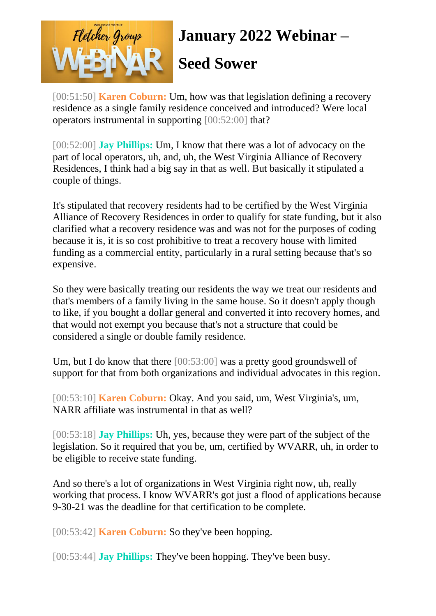

#### **Seed Sower**

[00:51:50] **Karen Coburn:** Um, how was that legislation defining a recovery residence as a single family residence conceived and introduced? Were local operators instrumental in supporting [00:52:00] that?

[00:52:00] **Jay Phillips:** Um, I know that there was a lot of advocacy on the part of local operators, uh, and, uh, the West Virginia Alliance of Recovery Residences, I think had a big say in that as well. But basically it stipulated a couple of things.

It's stipulated that recovery residents had to be certified by the West Virginia Alliance of Recovery Residences in order to qualify for state funding, but it also clarified what a recovery residence was and was not for the purposes of coding because it is, it is so cost prohibitive to treat a recovery house with limited funding as a commercial entity, particularly in a rural setting because that's so expensive.

So they were basically treating our residents the way we treat our residents and that's members of a family living in the same house. So it doesn't apply though to like, if you bought a dollar general and converted it into recovery homes, and that would not exempt you because that's not a structure that could be considered a single or double family residence.

Um, but I do know that there [00:53:00] was a pretty good groundswell of support for that from both organizations and individual advocates in this region.

[00:53:10] **Karen Coburn:** Okay. And you said, um, West Virginia's, um, NARR affiliate was instrumental in that as well?

[00:53:18] **Jay Phillips:** Uh, yes, because they were part of the subject of the legislation. So it required that you be, um, certified by WVARR, uh, in order to be eligible to receive state funding.

And so there's a lot of organizations in West Virginia right now, uh, really working that process. I know WVARR's got just a flood of applications because 9-30-21 was the deadline for that certification to be complete.

[00:53:42] **Karen Coburn:** So they've been hopping.

[00:53:44] **Jay Phillips:** They've been hopping. They've been busy.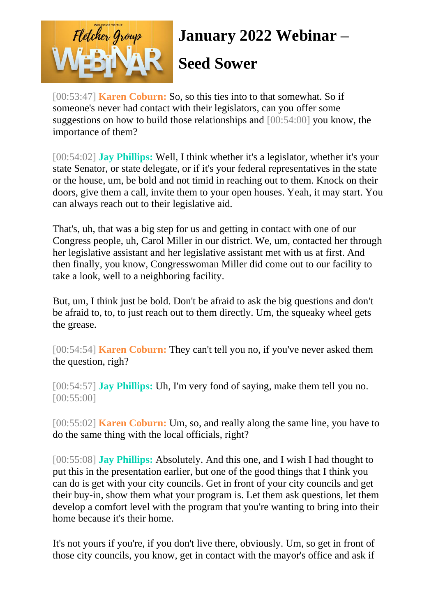

#### **Seed Sower**

[00:53:47] **Karen Coburn:** So, so this ties into to that somewhat. So if someone's never had contact with their legislators, can you offer some suggestions on how to build those relationships and [00:54:00] you know, the importance of them?

[00:54:02] **Jay Phillips:** Well, I think whether it's a legislator, whether it's your state Senator, or state delegate, or if it's your federal representatives in the state or the house, um, be bold and not timid in reaching out to them. Knock on their doors, give them a call, invite them to your open houses. Yeah, it may start. You can always reach out to their legislative aid.

That's, uh, that was a big step for us and getting in contact with one of our Congress people, uh, Carol Miller in our district. We, um, contacted her through her legislative assistant and her legislative assistant met with us at first. And then finally, you know, Congresswoman Miller did come out to our facility to take a look, well to a neighboring facility.

But, um, I think just be bold. Don't be afraid to ask the big questions and don't be afraid to, to, to just reach out to them directly. Um, the squeaky wheel gets the grease.

[00:54:54] **Karen Coburn:** They can't tell you no, if you've never asked them the question, righ?

[00:54:57] **Jay Phillips:** Uh, I'm very fond of saying, make them tell you no. [00:55:00]

[00:55:02] **Karen Coburn:** Um, so, and really along the same line, you have to do the same thing with the local officials, right?

[00:55:08] **Jay Phillips:** Absolutely. And this one, and I wish I had thought to put this in the presentation earlier, but one of the good things that I think you can do is get with your city councils. Get in front of your city councils and get their buy-in, show them what your program is. Let them ask questions, let them develop a comfort level with the program that you're wanting to bring into their home because it's their home.

It's not yours if you're, if you don't live there, obviously. Um, so get in front of those city councils, you know, get in contact with the mayor's office and ask if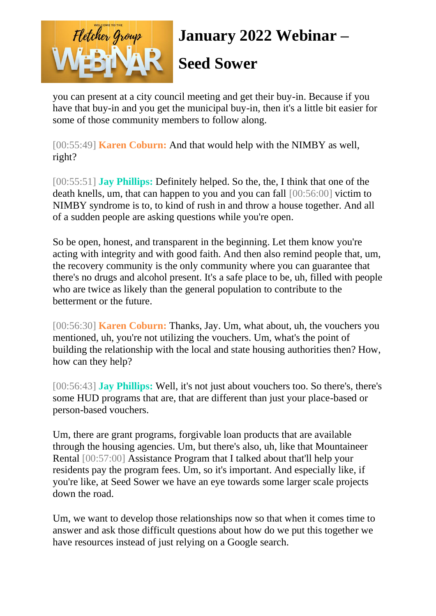

#### **Seed Sower**

you can present at a city council meeting and get their buy-in. Because if you have that buy-in and you get the municipal buy-in, then it's a little bit easier for some of those community members to follow along.

[00:55:49] **Karen Coburn:** And that would help with the NIMBY as well, right?

[00:55:51] **Jay Phillips:** Definitely helped. So the, the, I think that one of the death knells, um, that can happen to you and you can fall [00:56:00] victim to NIMBY syndrome is to, to kind of rush in and throw a house together. And all of a sudden people are asking questions while you're open.

So be open, honest, and transparent in the beginning. Let them know you're acting with integrity and with good faith. And then also remind people that, um, the recovery community is the only community where you can guarantee that there's no drugs and alcohol present. It's a safe place to be, uh, filled with people who are twice as likely than the general population to contribute to the betterment or the future.

[00:56:30] **Karen Coburn:** Thanks, Jay. Um, what about, uh, the vouchers you mentioned, uh, you're not utilizing the vouchers. Um, what's the point of building the relationship with the local and state housing authorities then? How, how can they help?

[00:56:43] **Jay Phillips:** Well, it's not just about vouchers too. So there's, there's some HUD programs that are, that are different than just your place-based or person-based vouchers.

Um, there are grant programs, forgivable loan products that are available through the housing agencies. Um, but there's also, uh, like that Mountaineer Rental [00:57:00] Assistance Program that I talked about that'll help your residents pay the program fees. Um, so it's important. And especially like, if you're like, at Seed Sower we have an eye towards some larger scale projects down the road.

Um, we want to develop those relationships now so that when it comes time to answer and ask those difficult questions about how do we put this together we have resources instead of just relying on a Google search.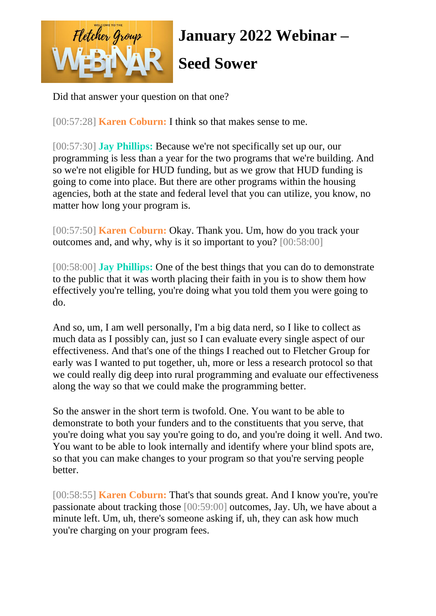

Did that answer your question on that one?

[00:57:28] **Karen Coburn:** I think so that makes sense to me.

[00:57:30] **Jay Phillips:** Because we're not specifically set up our, our programming is less than a year for the two programs that we're building. And so we're not eligible for HUD funding, but as we grow that HUD funding is going to come into place. But there are other programs within the housing agencies, both at the state and federal level that you can utilize, you know, no matter how long your program is.

[00:57:50] **Karen Coburn:** Okay. Thank you. Um, how do you track your outcomes and, and why, why is it so important to you? [00:58:00]

[00:58:00] **Jay Phillips:** One of the best things that you can do to demonstrate to the public that it was worth placing their faith in you is to show them how effectively you're telling, you're doing what you told them you were going to do.

And so, um, I am well personally, I'm a big data nerd, so I like to collect as much data as I possibly can, just so I can evaluate every single aspect of our effectiveness. And that's one of the things I reached out to Fletcher Group for early was I wanted to put together, uh, more or less a research protocol so that we could really dig deep into rural programming and evaluate our effectiveness along the way so that we could make the programming better.

So the answer in the short term is twofold. One. You want to be able to demonstrate to both your funders and to the constituents that you serve, that you're doing what you say you're going to do, and you're doing it well. And two. You want to be able to look internally and identify where your blind spots are, so that you can make changes to your program so that you're serving people better.

[00:58:55] **Karen Coburn:** That's that sounds great. And I know you're, you're passionate about tracking those [00:59:00] outcomes, Jay. Uh, we have about a minute left. Um, uh, there's someone asking if, uh, they can ask how much you're charging on your program fees.